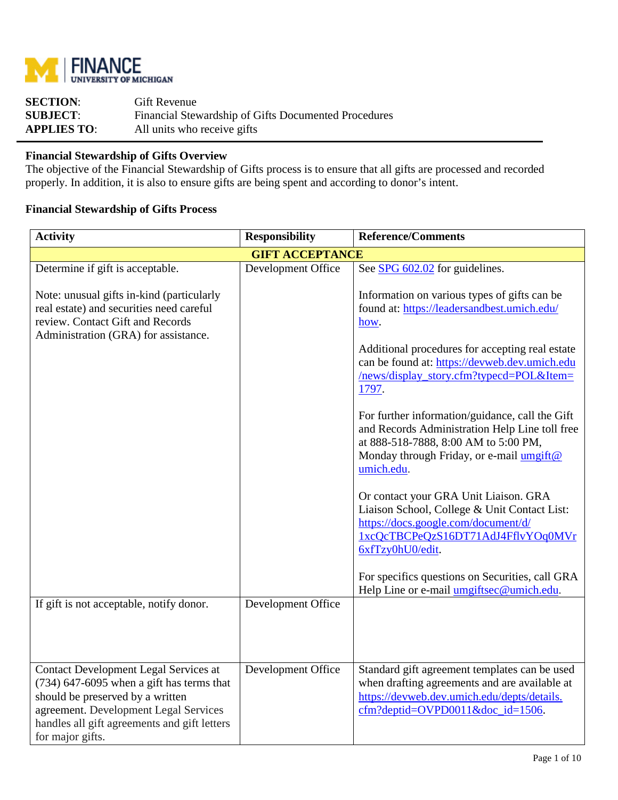

| <b>SECTION:</b>    | <b>Gift Revenue</b>                                  |
|--------------------|------------------------------------------------------|
| <b>SUBJECT:</b>    | Financial Stewardship of Gifts Documented Procedures |
| <b>APPLIES TO:</b> | All units who receive gifts                          |

# **Financial Stewardship of Gifts Overview**

The objective of the Financial Stewardship of Gifts process is to ensure that all gifts are processed and recorded properly. In addition, it is also to ensure gifts are being spent and according to donor's intent.

# **Financial Stewardship of Gifts Process**

| <b>Reference/Comments</b><br><b>Activity</b><br><b>Responsibility</b>                                                                                                                                                                        |                        |                                                                                                                                                                                                                                                                                                                                                                                                                                                                     |
|----------------------------------------------------------------------------------------------------------------------------------------------------------------------------------------------------------------------------------------------|------------------------|---------------------------------------------------------------------------------------------------------------------------------------------------------------------------------------------------------------------------------------------------------------------------------------------------------------------------------------------------------------------------------------------------------------------------------------------------------------------|
|                                                                                                                                                                                                                                              | <b>GIFT ACCEPTANCE</b> |                                                                                                                                                                                                                                                                                                                                                                                                                                                                     |
| Determine if gift is acceptable.                                                                                                                                                                                                             | Development Office     | See SPG 602.02 for guidelines.                                                                                                                                                                                                                                                                                                                                                                                                                                      |
| Note: unusual gifts in-kind (particularly<br>real estate) and securities need careful<br>review. Contact Gift and Records<br>Administration (GRA) for assistance.                                                                            |                        | Information on various types of gifts can be<br>found at: https://leadersandbest.umich.edu/<br>how.<br>Additional procedures for accepting real estate<br>can be found at: https://devweb.dev.umich.edu<br>/news/display_story.cfm?typecd=POL&Item=<br>1797.<br>For further information/guidance, call the Gift<br>and Records Administration Help Line toll free<br>at 888-518-7888, 8:00 AM to 5:00 PM,<br>Monday through Friday, or e-mail umgift@<br>umich.edu. |
|                                                                                                                                                                                                                                              |                        | Or contact your GRA Unit Liaison. GRA<br>Liaison School, College & Unit Contact List:<br>https://docs.google.com/document/d/<br>1xcQcTBCPeQzS16DT71AdJ4FflvYOq0MVr<br>6xfTzy0hU0/edit.<br>For specifics questions on Securities, call GRA<br>Help Line or e-mail umgiftsec@umich.edu.                                                                                                                                                                               |
| If gift is not acceptable, notify donor.                                                                                                                                                                                                     | Development Office     |                                                                                                                                                                                                                                                                                                                                                                                                                                                                     |
| <b>Contact Development Legal Services at</b><br>$(734)$ 647-6095 when a gift has terms that<br>should be preserved by a written<br>agreement. Development Legal Services<br>handles all gift agreements and gift letters<br>for major gifts. | Development Office     | Standard gift agreement templates can be used<br>when drafting agreements and are available at<br>https://devweb.dev.umich.edu/depts/details.<br>cfm?deptid=OVPD0011&doc_id=1506.                                                                                                                                                                                                                                                                                   |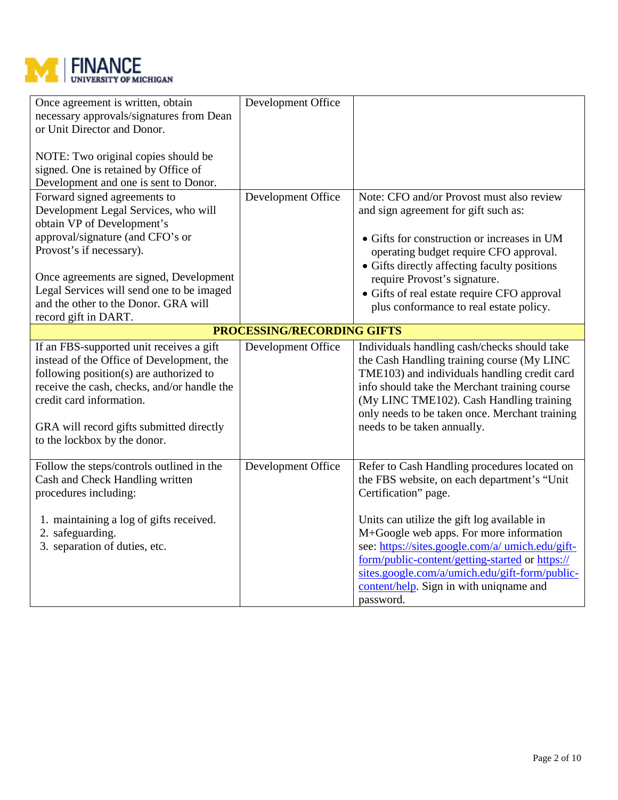

| Once agreement is written, obtain<br>necessary approvals/signatures from Dean<br>or Unit Director and Donor.                                                                                                                                                                            | Development Office         |                                                                                                                                                                                                                                                                                                                          |
|-----------------------------------------------------------------------------------------------------------------------------------------------------------------------------------------------------------------------------------------------------------------------------------------|----------------------------|--------------------------------------------------------------------------------------------------------------------------------------------------------------------------------------------------------------------------------------------------------------------------------------------------------------------------|
| NOTE: Two original copies should be<br>signed. One is retained by Office of                                                                                                                                                                                                             |                            |                                                                                                                                                                                                                                                                                                                          |
| Development and one is sent to Donor.                                                                                                                                                                                                                                                   |                            |                                                                                                                                                                                                                                                                                                                          |
| Forward signed agreements to                                                                                                                                                                                                                                                            | Development Office         | Note: CFO and/or Provost must also review                                                                                                                                                                                                                                                                                |
| Development Legal Services, who will<br>obtain VP of Development's                                                                                                                                                                                                                      |                            | and sign agreement for gift such as:                                                                                                                                                                                                                                                                                     |
| approval/signature (and CFO's or                                                                                                                                                                                                                                                        |                            | • Gifts for construction or increases in UM                                                                                                                                                                                                                                                                              |
| Provost's if necessary).                                                                                                                                                                                                                                                                |                            | operating budget require CFO approval.                                                                                                                                                                                                                                                                                   |
|                                                                                                                                                                                                                                                                                         |                            | • Gifts directly affecting faculty positions                                                                                                                                                                                                                                                                             |
| Once agreements are signed, Development                                                                                                                                                                                                                                                 |                            | require Provost's signature.                                                                                                                                                                                                                                                                                             |
| Legal Services will send one to be imaged                                                                                                                                                                                                                                               |                            | • Gifts of real estate require CFO approval                                                                                                                                                                                                                                                                              |
| and the other to the Donor. GRA will                                                                                                                                                                                                                                                    |                            | plus conformance to real estate policy.                                                                                                                                                                                                                                                                                  |
| record gift in DART.                                                                                                                                                                                                                                                                    |                            |                                                                                                                                                                                                                                                                                                                          |
|                                                                                                                                                                                                                                                                                         | PROCESSING/RECORDING GIFTS |                                                                                                                                                                                                                                                                                                                          |
| If an FBS-supported unit receives a gift<br>instead of the Office of Development, the<br>following position(s) are authorized to<br>receive the cash, checks, and/or handle the<br>credit card information.<br>GRA will record gifts submitted directly<br>to the lockbox by the donor. | Development Office         | Individuals handling cash/checks should take<br>the Cash Handling training course (My LINC<br>TME103) and individuals handling credit card<br>info should take the Merchant training course<br>(My LINC TME102). Cash Handling training<br>only needs to be taken once. Merchant training<br>needs to be taken annually. |
| Follow the steps/controls outlined in the                                                                                                                                                                                                                                               | Development Office         | Refer to Cash Handling procedures located on                                                                                                                                                                                                                                                                             |
| Cash and Check Handling written<br>procedures including:                                                                                                                                                                                                                                |                            | the FBS website, on each department's "Unit<br>Certification" page.                                                                                                                                                                                                                                                      |
|                                                                                                                                                                                                                                                                                         |                            |                                                                                                                                                                                                                                                                                                                          |
| 1. maintaining a log of gifts received.<br>2. safeguarding.<br>3. separation of duties, etc.                                                                                                                                                                                            |                            | Units can utilize the gift log available in<br>M+Google web apps. For more information<br>see: https://sites.google.com/a/ umich.edu/gift-<br>form/public-content/getting-started or https://<br>sites.google.com/a/umich.edu/gift-form/public-<br>content/help. Sign in with uniqname and                               |
|                                                                                                                                                                                                                                                                                         |                            | password.                                                                                                                                                                                                                                                                                                                |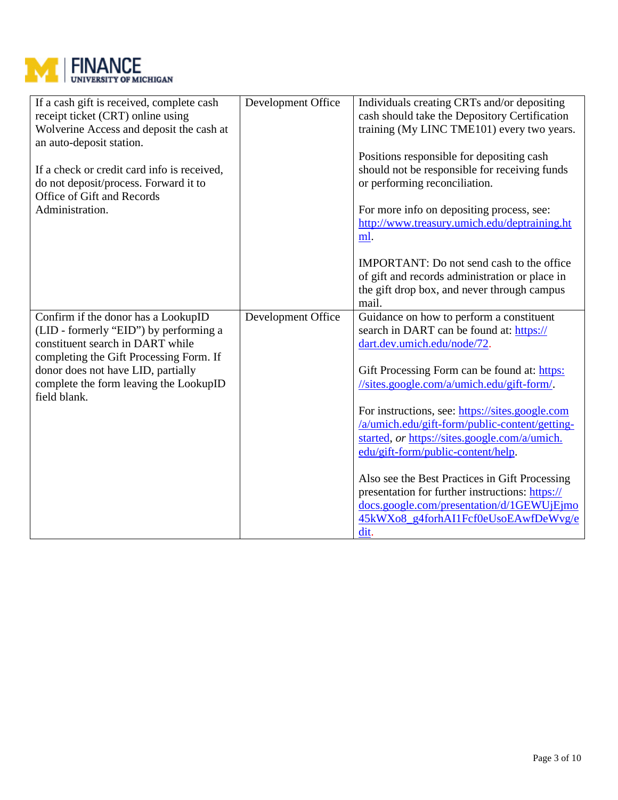

| If a cash gift is received, complete cash<br>receipt ticket (CRT) online using<br>Wolverine Access and deposit the cash at<br>an auto-deposit station.<br>If a check or credit card info is received,<br>do not deposit/process. Forward it to<br>Office of Gift and Records | Development Office | Individuals creating CRTs and/or depositing<br>cash should take the Depository Certification<br>training (My LINC TME101) every two years.<br>Positions responsible for depositing cash<br>should not be responsible for receiving funds<br>or performing reconciliation. |
|------------------------------------------------------------------------------------------------------------------------------------------------------------------------------------------------------------------------------------------------------------------------------|--------------------|---------------------------------------------------------------------------------------------------------------------------------------------------------------------------------------------------------------------------------------------------------------------------|
| Administration.                                                                                                                                                                                                                                                              |                    | For more info on depositing process, see:<br>http://www.treasury.umich.edu/deptraining.ht<br>ml.<br><b>IMPORTANT:</b> Do not send cash to the office<br>of gift and records administration or place in                                                                    |
|                                                                                                                                                                                                                                                                              |                    | the gift drop box, and never through campus<br>mail.                                                                                                                                                                                                                      |
| Confirm if the donor has a LookupID<br>(LID - formerly "EID") by performing a<br>constituent search in DART while<br>completing the Gift Processing Form. If<br>donor does not have LID, partially                                                                           | Development Office | Guidance on how to perform a constituent<br>search in DART can be found at: https://<br>dart.dev.umich.edu/node/72.<br>Gift Processing Form can be found at: https:                                                                                                       |
| complete the form leaving the LookupID<br>field blank.                                                                                                                                                                                                                       |                    | //sites.google.com/a/umich.edu/gift-form/.                                                                                                                                                                                                                                |
|                                                                                                                                                                                                                                                                              |                    | For instructions, see: https://sites.google.com<br>/a/umich.edu/gift-form/public-content/getting-<br>started, or https://sites.google.com/a/umich.<br>edu/gift-form/public-content/help.                                                                                  |
|                                                                                                                                                                                                                                                                              |                    | Also see the Best Practices in Gift Processing<br>presentation for further instructions: https://<br>docs.google.com/presentation/d/1GEWUjEjmo<br>45kWXo8_g4forhAI1Fcf0eUsoEAwfDeWvg/e<br>dit.                                                                            |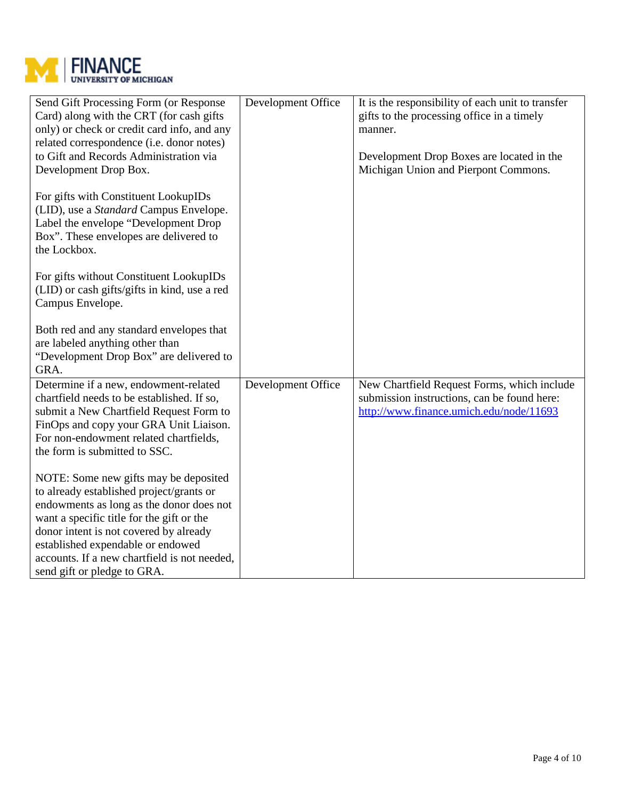

| Send Gift Processing Form (or Response<br>Card) along with the CRT (for cash gifts<br>only) or check or credit card info, and any<br>related correspondence (i.e. donor notes)<br>to Gift and Records Administration via<br>Development Drop Box.                                                                                        | Development Office | It is the responsibility of each unit to transfer<br>gifts to the processing office in a timely<br>manner.<br>Development Drop Boxes are located in the<br>Michigan Union and Pierpont Commons. |
|------------------------------------------------------------------------------------------------------------------------------------------------------------------------------------------------------------------------------------------------------------------------------------------------------------------------------------------|--------------------|-------------------------------------------------------------------------------------------------------------------------------------------------------------------------------------------------|
| For gifts with Constituent LookupIDs<br>(LID), use a <i>Standard</i> Campus Envelope.<br>Label the envelope "Development Drop<br>Box". These envelopes are delivered to<br>the Lockbox.                                                                                                                                                  |                    |                                                                                                                                                                                                 |
| For gifts without Constituent LookupIDs<br>(LID) or cash gifts/gifts in kind, use a red<br>Campus Envelope.                                                                                                                                                                                                                              |                    |                                                                                                                                                                                                 |
| Both red and any standard envelopes that<br>are labeled anything other than<br>"Development Drop Box" are delivered to<br>GRA.                                                                                                                                                                                                           |                    |                                                                                                                                                                                                 |
| Determine if a new, endowment-related<br>chartfield needs to be established. If so,<br>submit a New Chartfield Request Form to<br>FinOps and copy your GRA Unit Liaison.<br>For non-endowment related chartfields,<br>the form is submitted to SSC.                                                                                      | Development Office | New Chartfield Request Forms, which include<br>submission instructions, can be found here:<br>http://www.finance.umich.edu/node/11693                                                           |
| NOTE: Some new gifts may be deposited<br>to already established project/grants or<br>endowments as long as the donor does not<br>want a specific title for the gift or the<br>donor intent is not covered by already<br>established expendable or endowed<br>accounts. If a new chartfield is not needed,<br>send gift or pledge to GRA. |                    |                                                                                                                                                                                                 |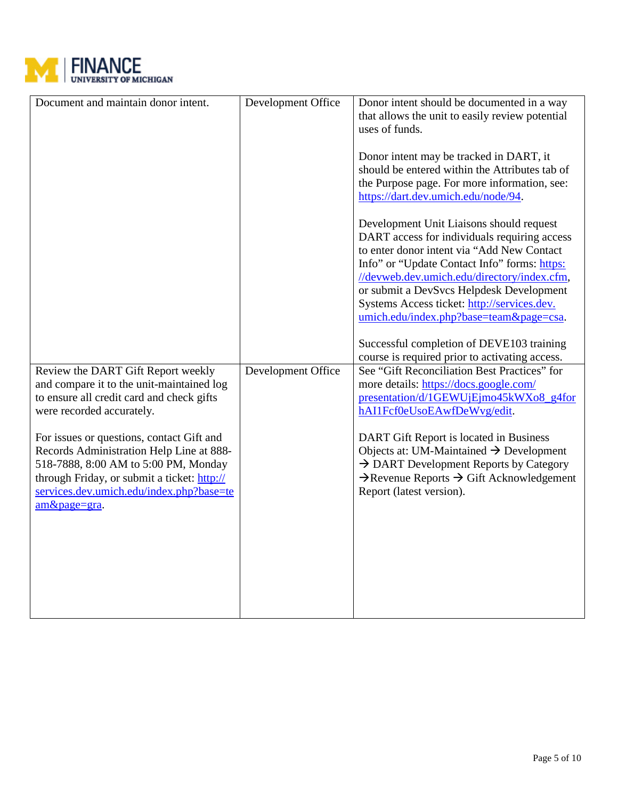

| Document and maintain donor intent.                                                                                                                                                                                                      | Development Office | Donor intent should be documented in a way<br>that allows the unit to easily review potential<br>uses of funds.                                                                                                                                                                                                                                                             |  |
|------------------------------------------------------------------------------------------------------------------------------------------------------------------------------------------------------------------------------------------|--------------------|-----------------------------------------------------------------------------------------------------------------------------------------------------------------------------------------------------------------------------------------------------------------------------------------------------------------------------------------------------------------------------|--|
|                                                                                                                                                                                                                                          |                    | Donor intent may be tracked in DART, it<br>should be entered within the Attributes tab of<br>the Purpose page. For more information, see:<br>https://dart.dev.umich.edu/node/94.                                                                                                                                                                                            |  |
|                                                                                                                                                                                                                                          |                    | Development Unit Liaisons should request<br>DART access for individuals requiring access<br>to enter donor intent via "Add New Contact<br>Info" or "Update Contact Info" forms: https:<br>//devweb.dev.umich.edu/directory/index.cfm,<br>or submit a DevSvcs Helpdesk Development<br>Systems Access ticket: http://services.dev.<br>umich.edu/index.php?base=team&page=csa. |  |
|                                                                                                                                                                                                                                          |                    | Successful completion of DEVE103 training<br>course is required prior to activating access.                                                                                                                                                                                                                                                                                 |  |
| Review the DART Gift Report weekly<br>and compare it to the unit-maintained log<br>to ensure all credit card and check gifts<br>were recorded accurately.                                                                                | Development Office | See "Gift Reconciliation Best Practices" for<br>more details: https://docs.google.com/<br>presentation/d/1GEWUjEjmo45kWXo8_g4for<br>hAI1Fcf0eUsoEAwfDeWvg/edit.                                                                                                                                                                                                             |  |
| For issues or questions, contact Gift and<br>Records Administration Help Line at 888-<br>518-7888, 8:00 AM to 5:00 PM, Monday<br>through Friday, or submit a ticket: http://<br>services.dev.umich.edu/index.php?base=te<br>am&page=gra. |                    | DART Gift Report is located in Business<br>Objects at: UM-Maintained $\rightarrow$ Development<br>$\rightarrow$ DART Development Reports by Category<br>$\rightarrow$ Revenue Reports $\rightarrow$ Gift Acknowledgement<br>Report (latest version).                                                                                                                        |  |
|                                                                                                                                                                                                                                          |                    |                                                                                                                                                                                                                                                                                                                                                                             |  |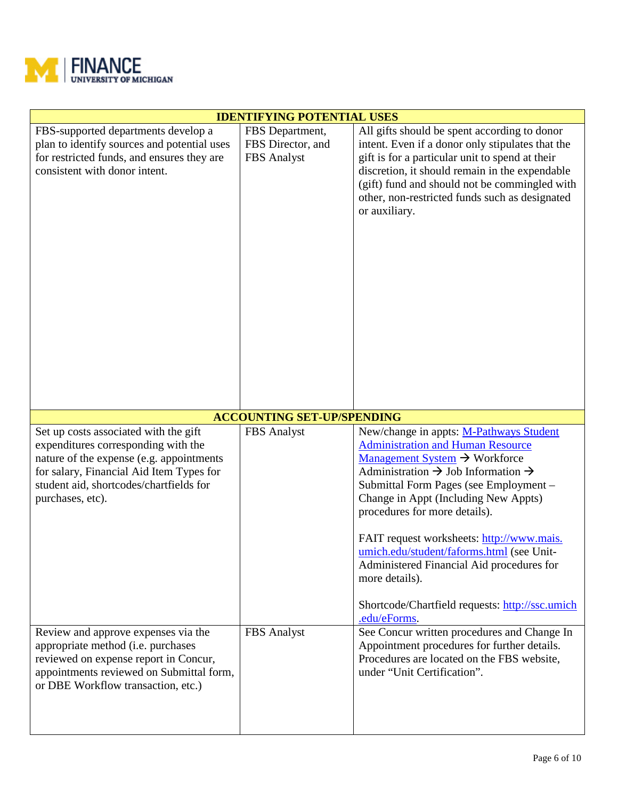

| <b>IDENTIFYING POTENTIAL USES</b>                                                                                                                                                                    |                                                                                             |                                                                                                                                                                                                                                                                                                                                                                                                                                                                                        |  |  |
|------------------------------------------------------------------------------------------------------------------------------------------------------------------------------------------------------|---------------------------------------------------------------------------------------------|----------------------------------------------------------------------------------------------------------------------------------------------------------------------------------------------------------------------------------------------------------------------------------------------------------------------------------------------------------------------------------------------------------------------------------------------------------------------------------------|--|--|
| FBS-supported departments develop a<br>plan to identify sources and potential uses<br>for restricted funds, and ensures they are<br>consistent with donor intent.                                    | FBS Department,<br>FBS Director, and<br>FBS Analyst                                         | All gifts should be spent according to donor<br>intent. Even if a donor only stipulates that the<br>gift is for a particular unit to spend at their<br>discretion, it should remain in the expendable<br>(gift) fund and should not be commingled with<br>other, non-restricted funds such as designated<br>or auxiliary.                                                                                                                                                              |  |  |
| Set up costs associated with the gift                                                                                                                                                                | <b>ACCOUNTING SET-UP/SPENDING</b><br>FBS Analyst<br>New/change in appts: M-Pathways Student |                                                                                                                                                                                                                                                                                                                                                                                                                                                                                        |  |  |
| expenditures corresponding with the<br>nature of the expense (e.g. appointments<br>for salary, Financial Aid Item Types for<br>student aid, shortcodes/chartfields for<br>purchases, etc).           |                                                                                             | <b>Administration and Human Resource</b><br>Management System → Workforce<br>Administration $\rightarrow$ Job Information $\rightarrow$<br>Submittal Form Pages (see Employment -<br>Change in Appt (Including New Appts)<br>procedures for more details).<br>FAIT request worksheets: http://www.mais.<br>umich.edu/student/faforms.html (see Unit-<br>Administered Financial Aid procedures for<br>more details).<br>Shortcode/Chartfield requests: http://ssc.umich<br>.edu/eForms. |  |  |
| Review and approve expenses via the<br>appropriate method (i.e. purchases<br>reviewed on expense report in Concur,<br>appointments reviewed on Submittal form,<br>or DBE Workflow transaction, etc.) | <b>FBS</b> Analyst                                                                          | See Concur written procedures and Change In<br>Appointment procedures for further details.<br>Procedures are located on the FBS website,<br>under "Unit Certification".                                                                                                                                                                                                                                                                                                                |  |  |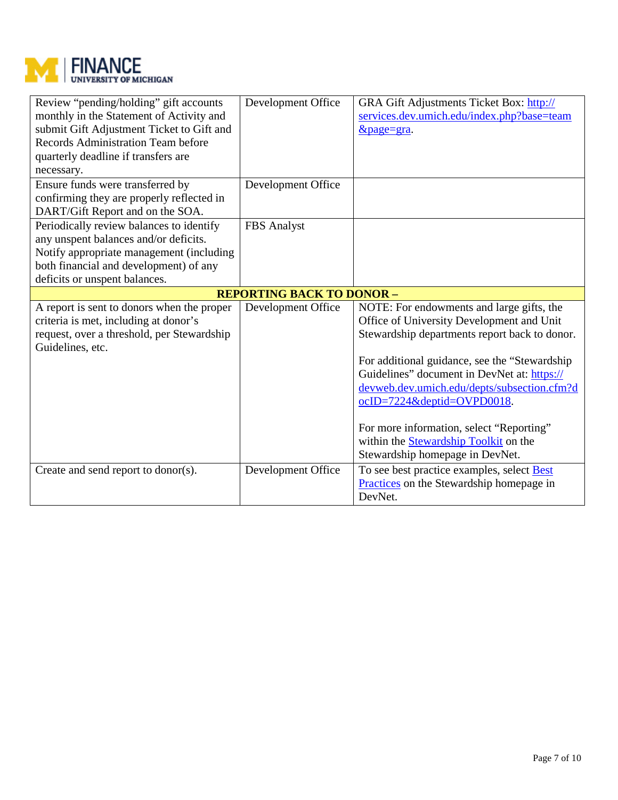

| Review "pending/holding" gift accounts<br>monthly in the Statement of Activity and<br>submit Gift Adjustment Ticket to Gift and<br><b>Records Administration Team before</b><br>quarterly deadline if transfers are<br>necessary. | Development Office | <b>GRA Gift Adjustments Ticket Box: http://</b><br>services.dev.umich.edu/index.php?base=team<br>$&$ page=gra.                                                                                                                                                                                                                                                                                                                                       |  |
|-----------------------------------------------------------------------------------------------------------------------------------------------------------------------------------------------------------------------------------|--------------------|------------------------------------------------------------------------------------------------------------------------------------------------------------------------------------------------------------------------------------------------------------------------------------------------------------------------------------------------------------------------------------------------------------------------------------------------------|--|
| Ensure funds were transferred by<br>confirming they are properly reflected in<br>DART/Gift Report and on the SOA.                                                                                                                 | Development Office |                                                                                                                                                                                                                                                                                                                                                                                                                                                      |  |
| Periodically review balances to identify<br>any unspent balances and/or deficits.<br>Notify appropriate management (including<br>both financial and development) of any<br>deficits or unspent balances.                          | FBS Analyst        |                                                                                                                                                                                                                                                                                                                                                                                                                                                      |  |
| <b>REPORTING BACK TO DONOR -</b>                                                                                                                                                                                                  |                    |                                                                                                                                                                                                                                                                                                                                                                                                                                                      |  |
| A report is sent to donors when the proper<br>criteria is met, including at donor's<br>request, over a threshold, per Stewardship<br>Guidelines, etc.                                                                             | Development Office | NOTE: For endowments and large gifts, the<br>Office of University Development and Unit<br>Stewardship departments report back to donor.<br>For additional guidance, see the "Stewardship"<br>Guidelines" document in DevNet at: https://<br>devweb.dev.umich.edu/depts/subsection.cfm?d<br>ocID=7224&deptid=OVPD0018.<br>For more information, select "Reporting"<br>within the <b>Stewardship Toolkit</b> on the<br>Stewardship homepage in DevNet. |  |
| Create and send report to donor(s).                                                                                                                                                                                               | Development Office | To see best practice examples, select <b>Best</b><br>Practices on the Stewardship homepage in<br>DevNet.                                                                                                                                                                                                                                                                                                                                             |  |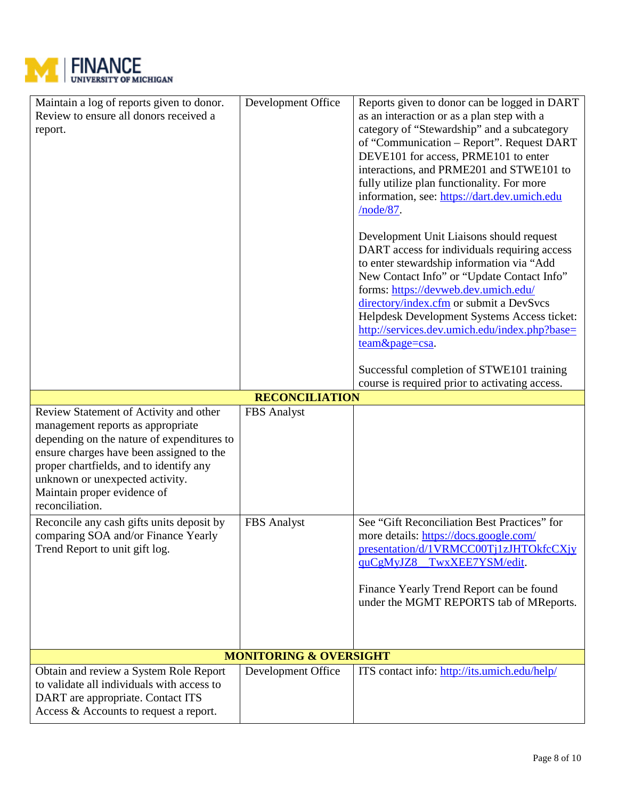

| Maintain a log of reports given to donor.                                       | Development Office                | Reports given to donor can be logged in DART                                       |
|---------------------------------------------------------------------------------|-----------------------------------|------------------------------------------------------------------------------------|
| Review to ensure all donors received a                                          |                                   | as an interaction or as a plan step with a                                         |
| report.                                                                         |                                   | category of "Stewardship" and a subcategory                                        |
|                                                                                 |                                   | of "Communication – Report". Request DART<br>DEVE101 for access, PRME101 to enter  |
|                                                                                 |                                   | interactions, and PRME201 and STWE101 to                                           |
|                                                                                 |                                   | fully utilize plan functionality. For more                                         |
|                                                                                 |                                   | information, see: https://dart.dev.umich.edu                                       |
|                                                                                 |                                   | /node/87.                                                                          |
|                                                                                 |                                   | Development Unit Liaisons should request                                           |
|                                                                                 |                                   | DART access for individuals requiring access                                       |
|                                                                                 |                                   | to enter stewardship information via "Add                                          |
|                                                                                 |                                   | New Contact Info" or "Update Contact Info"<br>forms: https://devweb.dev.umich.edu/ |
|                                                                                 |                                   | directory/index.cfm or submit a DevSvcs                                            |
|                                                                                 |                                   | Helpdesk Development Systems Access ticket:                                        |
|                                                                                 |                                   | http://services.dev.umich.edu/index.php?base=                                      |
|                                                                                 |                                   | team&page=csa.                                                                     |
|                                                                                 |                                   | Successful completion of STWE101 training                                          |
|                                                                                 |                                   | course is required prior to activating access.                                     |
|                                                                                 | <b>RECONCILIATION</b>             |                                                                                    |
| Review Statement of Activity and other                                          | FBS Analyst                       |                                                                                    |
| management reports as appropriate<br>depending on the nature of expenditures to |                                   |                                                                                    |
| ensure charges have been assigned to the                                        |                                   |                                                                                    |
| proper chartfields, and to identify any                                         |                                   |                                                                                    |
| unknown or unexpected activity.                                                 |                                   |                                                                                    |
| Maintain proper evidence of                                                     |                                   |                                                                                    |
| reconciliation.                                                                 |                                   |                                                                                    |
| Reconcile any cash gifts units deposit by                                       | FBS Analyst                       | See "Gift Reconciliation Best Practices" for                                       |
| comparing SOA and/or Finance Yearly<br>Trend Report to unit gift log.           |                                   | more details: https://docs.google.com/<br>presentation/d/1VRMCC00Tj1zJHTOkfcCXjy   |
|                                                                                 |                                   | quCgMyJZ8_TwxXEE7YSM/edit.                                                         |
|                                                                                 |                                   |                                                                                    |
|                                                                                 |                                   | Finance Yearly Trend Report can be found                                           |
|                                                                                 |                                   | under the MGMT REPORTS tab of MReports.                                            |
|                                                                                 |                                   |                                                                                    |
|                                                                                 |                                   |                                                                                    |
|                                                                                 | <b>MONITORING &amp; OVERSIGHT</b> |                                                                                    |
| Obtain and review a System Role Report                                          | Development Office                | ITS contact info: http://its.umich.edu/help/                                       |
| to validate all individuals with access to                                      |                                   |                                                                                    |
| DART are appropriate. Contact ITS<br>Access & Accounts to request a report.     |                                   |                                                                                    |
|                                                                                 |                                   |                                                                                    |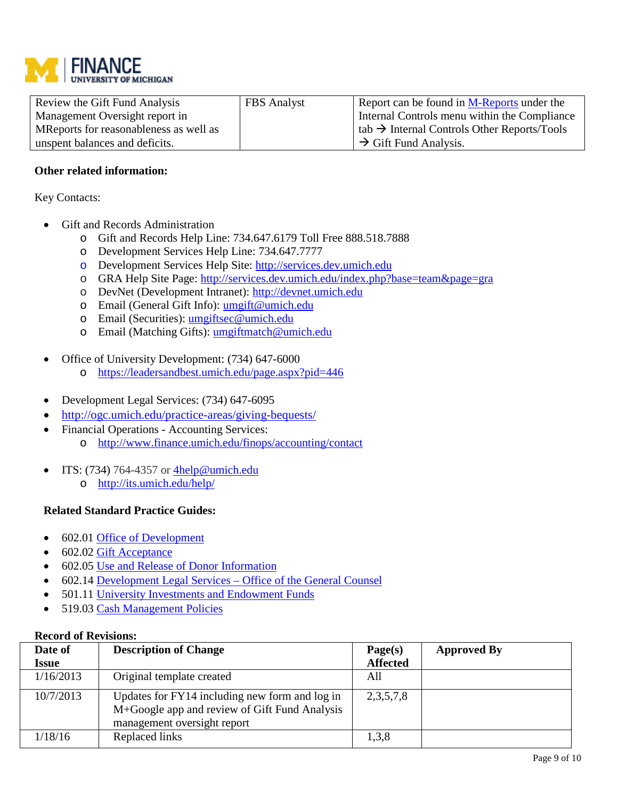

| Review the Gift Fund Analysis          | <b>FBS</b> Analyst | Report can be found in $M$ -Reports under the                   |
|----------------------------------------|--------------------|-----------------------------------------------------------------|
| Management Oversight report in         |                    | Internal Controls menu within the Compliance                    |
| MReports for reasonableness as well as |                    | $\vert$ tab $\rightarrow$ Internal Controls Other Reports/Tools |
| unspent balances and deficits.         |                    | $\rightarrow$ Gift Fund Analysis.                               |

## **Other related information:**

Key Contacts:

- Gift and Records Administration
	- o Gift and Records Help Line: 734.647.6179 Toll Free 888.518.7888
	- o Development Services Help Line: 734.647.7777
	- o Development Services Help Site: [http://services.dev.umich.edu](http://services.dev.umich.edu/)
	- o GRA Help Site Page: <http://services.dev.umich.edu/index.php?base=team&page=gra>
	- o DevNet (Development Intranet): [http://devnet.umich.edu](http://devnet.umich.edu/)
	- o Email (General Gift Info): umgift@umich.edu
	- o Email (Securities): umgiftsec@umich.edu
	- o Email (Matching Gifts): [umgiftmatch@umich.edu](mailto:umgiftmatch@umich.edu)
- Office of University Development: (734) 647-6000
	- o <https://leadersandbest.umich.edu/page.aspx?pid=446>
- Development Legal Services: (734) 647-6095
- <http://ogc.umich.edu/practice-areas/giving-bequests/>
- Financial Operations Accounting Services: o <http://www.finance.umich.edu/finops/accounting/contact>
- ITS: (734) 764-4357 or  $\frac{\text{4help@umich.edu}}{\text{4help@umich.edu}}$ 
	- o <http://its.umich.edu/help/>

# **Related Standard Practice Guides:**

- 602.01 [Office of Development](http://spg.umich.edu/policy/602.01)
- 602.02 [Gift Acceptance](http://spg.umich.edu/policy/602.02)
- 602.05 [Use and Release of Donor Information](http://spg.umich.edu/policy/602.05)
- 602.14 [Development Legal Services –](http://spg.umich.edu/policy/602.14) Office of the General Counsel
- 501.11 [University Investments and Endowment Funds](http://spg.umich.edu/policy/501.11)
- 519.03 [Cash Management Policies](http://spg.umich.edu/policy/519.03)

#### **Record of Revisions:**

| Date of      | <b>Description of Change</b>                                                                                                   | Page(s)         | <b>Approved By</b> |
|--------------|--------------------------------------------------------------------------------------------------------------------------------|-----------------|--------------------|
| <b>Issue</b> |                                                                                                                                | <b>Affected</b> |                    |
| 1/16/2013    | Original template created                                                                                                      | All             |                    |
| 10/7/2013    | Updates for FY14 including new form and log in<br>M+Google app and review of Gift Fund Analysis<br>management oversight report | 2, 3, 5, 7, 8   |                    |
| 1/18/16      | Replaced links                                                                                                                 | 1,3,8           |                    |